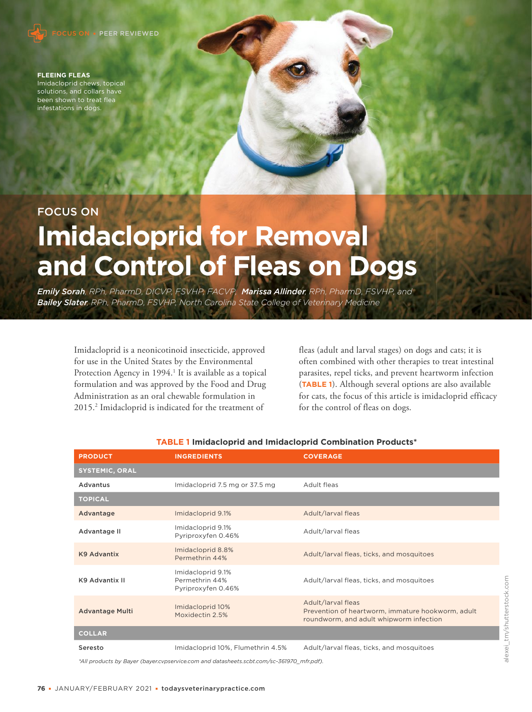

#### **FLEEING FLEAS**  Imidacloprid chews, topical solutions, and collars have been shown to treat flea infestations in dogs.

# FOCUS ON **Imidacloprid for Removal and Control of Fleas on Dogs**

*Emily Sorah, RPh, PharmD, DICVP, FSVHP, FACVP, Marissa Allinder, RPh, PharmD, FSVHP, and Bailey Slater, RPh, PharmD, FSVHP, North Carolina State College of Veterinary Medicine*

Imidacloprid is a neonicotinoid insecticide, approved for use in the United States by the Environmental Protection Agency in 1994.<sup>1</sup> It is available as a topical formulation and was approved by the Food and Drug Administration as an oral chewable formulation in 2015.2 Imidacloprid is indicated for the treatment of

fleas (adult and larval stages) on dogs and cats; it is often combined with other therapies to treat intestinal parasites, repel ticks, and prevent heartworm infection (**TABLE 1**). Although several options are also available for cats, the focus of this article is imidacloprid efficacy for the control of fleas on dogs.

| <b>PRODUCT</b>         | <b>INGREDIENTS</b>                                        | <b>COVERAGE</b>                                                                                                    |
|------------------------|-----------------------------------------------------------|--------------------------------------------------------------------------------------------------------------------|
| <b>SYSTEMIC, ORAL</b>  |                                                           |                                                                                                                    |
| Advantus               | Imidacloprid 7.5 mg or 37.5 mg                            | Adult fleas                                                                                                        |
| <b>TOPICAL</b>         |                                                           |                                                                                                                    |
| Advantage              | Imidacloprid 9.1%                                         | Adult/larval fleas                                                                                                 |
| Advantage II           | Imidacloprid 9.1%<br>Pyriproxyfen 0.46%                   | Adult/larval fleas                                                                                                 |
| <b>K9 Advantix</b>     | Imidacloprid 8.8%<br>Permethrin 44%                       | Adult/larval fleas, ticks, and mosquitoes                                                                          |
| K9 Advantix II         | Imidacloprid 9.1%<br>Permethrin 44%<br>Pyriproxyfen 0.46% | Adult/larval fleas, ticks, and mosquitoes                                                                          |
| <b>Advantage Multi</b> | Imidacloprid 10%<br>Moxidectin 2.5%                       | Adult/larval fleas<br>Prevention of heartworm, immature hookworm, adult<br>roundworm, and adult whipworm infection |
| <b>COLLAR</b>          |                                                           |                                                                                                                    |
| Seresto                | Imidacloprid 10%, Flumethrin 4.5%                         | Adult/larval fleas, ticks, and mosquitoes                                                                          |

#### **TABLE 1 Imidacloprid and Imidacloprid Combination Products\***

*\*All products by Bayer (bayer.cvpservice.com and datasheets.scbt.com/sc-361970\_mfr.pdf).*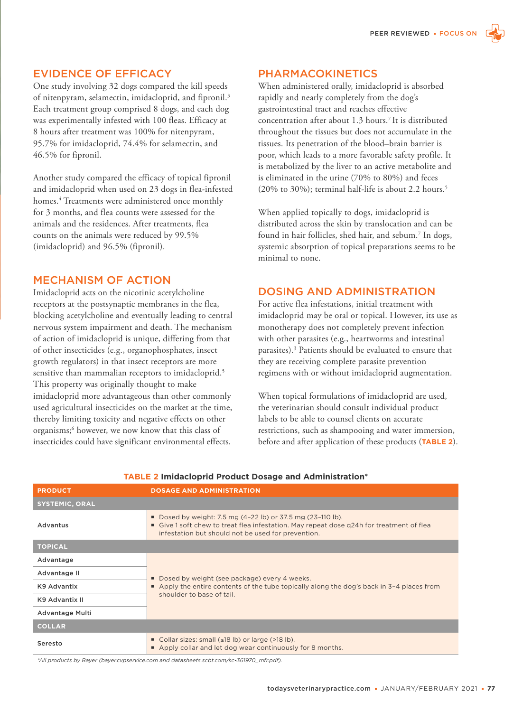#### EVIDENCE OF EFFICACY

One study involving 32 dogs compared the kill speeds of nitenpyram, selamectin, imidacloprid, and fipronil.<sup>3</sup> Each treatment group comprised 8 dogs, and each dog was experimentally infested with 100 fleas. Efficacy at 8 hours after treatment was 100% for nitenpyram, 95.7% for imidacloprid, 74.4% for selamectin, and 46.5% for fipronil.

Another study compared the efficacy of topical fipronil and imidacloprid when used on 23 dogs in flea-infested homes.4 Treatments were administered once monthly for 3 months, and flea counts were assessed for the animals and the residences. After treatments, flea counts on the animals were reduced by 99.5% (imidacloprid) and 96.5% (fipronil).

#### MECHANISM OF ACTION

Imidacloprid acts on the nicotinic acetylcholine receptors at the postsynaptic membranes in the flea, blocking acetylcholine and eventually leading to central nervous system impairment and death. The mechanism of action of imidacloprid is unique, differing from that of other insecticides (e.g., organophosphates, insect growth regulators) in that insect receptors are more sensitive than mammalian receptors to imidacloprid.<sup>5</sup> This property was originally thought to make imidacloprid more advantageous than other commonly used agricultural insecticides on the market at the time, thereby limiting toxicity and negative effects on other organisms;6 however, we now know that this class of insecticides could have significant environmental effects.

#### PHARMACOKINETICS

When administered orally, imidacloprid is absorbed rapidly and nearly completely from the dog's gastrointestinal tract and reaches effective concentration after about 1.3 hours.7 It is distributed throughout the tissues but does not accumulate in the tissues. Its penetration of the blood–brain barrier is poor, which leads to a more favorable safety profile. It is metabolized by the liver to an active metabolite and is eliminated in the urine (70% to 80%) and feces (20% to 30%); terminal half-life is about 2.2 hours.<sup>5</sup>

When applied topically to dogs, imidacloprid is distributed across the skin by translocation and can be found in hair follicles, shed hair, and sebum.<sup>7</sup> In dogs, systemic absorption of topical preparations seems to be minimal to none.

## DOSING AND ADMINISTRATION

For active flea infestations, initial treatment with imidacloprid may be oral or topical. However, its use as monotherapy does not completely prevent infection with other parasites (e.g., heartworms and intestinal parasites).<sup>3</sup> Patients should be evaluated to ensure that they are receiving complete parasite prevention regimens with or without imidacloprid augmentation.

When topical formulations of imidacloprid are used, the veterinarian should consult individual product labels to be able to counsel clients on accurate restrictions, such as shampooing and water immersion, before and after application of these products (**TABLE 2**).

| <b>PRODUCT</b>        | <b>DOSAGE AND ADMINISTRATION</b>                                                                                                                                                                                                 |  |
|-----------------------|----------------------------------------------------------------------------------------------------------------------------------------------------------------------------------------------------------------------------------|--|
| <b>SYSTEMIC, ORAL</b> |                                                                                                                                                                                                                                  |  |
| Advantus              | Dosed by weight: 7.5 mg $(4-22 \text{ lb})$ or 37.5 mg $(23-110 \text{ lb})$ .<br>■ Give 1 soft chew to treat flea infestation. May repeat dose q24h for treatment of flea<br>infestation but should not be used for prevention. |  |
| <b>TOPICAL</b>        |                                                                                                                                                                                                                                  |  |
| Advantage             | Dosed by weight (see package) every 4 weeks.<br>$\blacksquare$ Apply the entire contents of the tube topically along the dog's back in 3-4 places from<br>shoulder to base of tail.                                              |  |
| Advantage II          |                                                                                                                                                                                                                                  |  |
| K9 Advantix           |                                                                                                                                                                                                                                  |  |
| K9 Advantix II        |                                                                                                                                                                                                                                  |  |
| Advantage Multi       |                                                                                                                                                                                                                                  |  |
| <b>COLLAR</b>         |                                                                                                                                                                                                                                  |  |
| Seresto               | Collar sizes: small $(\leq 18 \text{ lb})$ or large $(>18 \text{ lb})$ .<br>Apply collar and let dog wear continuously for 8 months.                                                                                             |  |

#### **TABLE 2 Imidacloprid Product Dosage and Administration\***

*\*All products by Bayer (bayer.cvpservice.com and datasheets.scbt.com/sc-361970\_mfr.pdf).*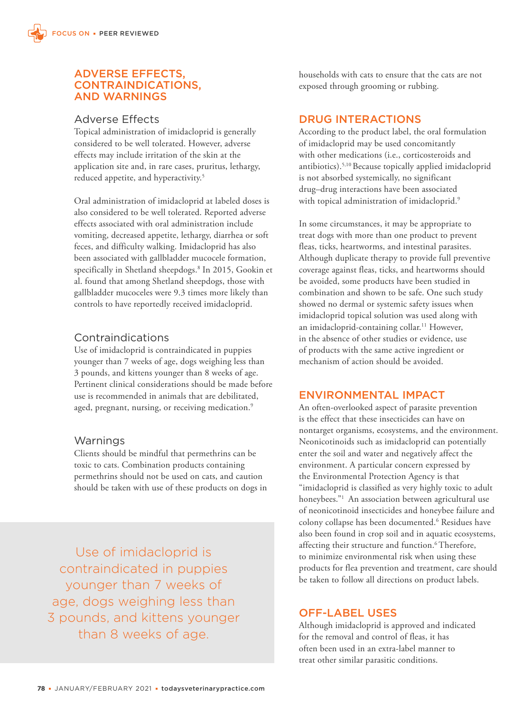#### ADVERSE EFFECTS, CONTRAINDICATIONS, AND WARNINGS

#### Adverse Effects

Topical administration of imidacloprid is generally considered to be well tolerated. However, adverse effects may include irritation of the skin at the application site and, in rare cases, pruritus, lethargy, reduced appetite, and hyperactivity.<sup>5</sup>

Oral administration of imidacloprid at labeled doses is also considered to be well tolerated. Reported adverse effects associated with oral administration include vomiting, decreased appetite, lethargy, diarrhea or soft feces, and difficulty walking. Imidacloprid has also been associated with gallbladder mucocele formation, specifically in Shetland sheepdogs.8 In 2015, Gookin et al. found that among Shetland sheepdogs, those with gallbladder mucoceles were 9.3 times more likely than controls to have reportedly received imidacloprid.

## Contraindications

Use of imidacloprid is contraindicated in puppies younger than 7 weeks of age, dogs weighing less than 3 pounds, and kittens younger than 8 weeks of age. Pertinent clinical considerations should be made before use is recommended in animals that are debilitated, aged, pregnant, nursing, or receiving medication.<sup>9</sup>

## Warnings

Clients should be mindful that permethrins can be toxic to cats. Combination products containing permethrins should not be used on cats, and caution should be taken with use of these products on dogs in

Use of imidacloprid is contraindicated in puppies younger than 7 weeks of age, dogs weighing less than 3 pounds, and kittens younger than 8 weeks of age.

households with cats to ensure that the cats are not exposed through grooming or rubbing.

#### DRUG INTERACTIONS

According to the product label, the oral formulation of imidacloprid may be used concomitantly with other medications (i.e., corticosteroids and antibiotics).5,10 Because topically applied imidacloprid is not absorbed systemically, no significant drug–drug interactions have been associated with topical administration of imidacloprid.<sup>9</sup>

In some circumstances, it may be appropriate to treat dogs with more than one product to prevent fleas, ticks, heartworms, and intestinal parasites. Although duplicate therapy to provide full preventive coverage against fleas, ticks, and heartworms should be avoided, some products have been studied in combination and shown to be safe. One such study showed no dermal or systemic safety issues when imidacloprid topical solution was used along with an imidacloprid-containing collar.<sup>11</sup> However, in the absence of other studies or evidence, use of products with the same active ingredient or mechanism of action should be avoided.

## ENVIRONMENTAL IMPACT

An often-overlooked aspect of parasite prevention is the effect that these insecticides can have on nontarget organisms, ecosystems, and the environment. Neonicotinoids such as imidacloprid can potentially enter the soil and water and negatively affect the environment. A particular concern expressed by the Environmental Protection Agency is that "imidacloprid is classified as very highly toxic to adult honeybees."<sup>1</sup> An association between agricultural use of neonicotinoid insecticides and honeybee failure and colony collapse has been documented.6 Residues have also been found in crop soil and in aquatic ecosystems, affecting their structure and function.<sup>6</sup> Therefore, to minimize environmental risk when using these products for flea prevention and treatment, care should be taken to follow all directions on product labels.

## OFF-LABEL USES

Although imidacloprid is approved and indicated for the removal and control of fleas, it has often been used in an extra-label manner to treat other similar parasitic conditions.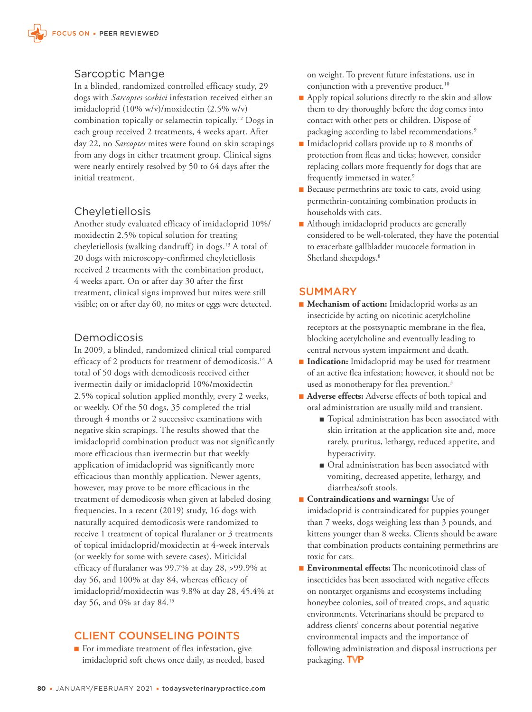#### Sarcoptic Mange

In a blinded, randomized controlled efficacy study, 29 dogs with *Sarcoptes scabiei* infestation received either an imidacloprid (10% w/v)/moxidectin (2.5% w/v) combination topically or selamectin topically.12 Dogs in each group received 2 treatments, 4 weeks apart. After day 22, no *Sarcoptes* mites were found on skin scrapings from any dogs in either treatment group. Clinical signs were nearly entirely resolved by 50 to 64 days after the initial treatment.

## **Cheyletiellosis**

Another study evaluated efficacy of imidacloprid 10%/ moxidectin 2.5% topical solution for treating cheyletiellosis (walking dandruff) in dogs.<sup>13</sup> A total of 20 dogs with microscopy-confirmed cheyletiellosis received 2 treatments with the combination product, 4 weeks apart. On or after day 30 after the first treatment, clinical signs improved but mites were still visible; on or after day 60, no mites or eggs were detected.

#### Demodicosis

In 2009, a blinded, randomized clinical trial compared efficacy of 2 products for treatment of demodicosis.14 A total of 50 dogs with demodicosis received either ivermectin daily or imidacloprid 10%/moxidectin 2.5% topical solution applied monthly, every 2 weeks, or weekly. Of the 50 dogs, 35 completed the trial through 4 months or 2 successive examinations with negative skin scrapings. The results showed that the imidacloprid combination product was not significantly more efficacious than ivermectin but that weekly application of imidacloprid was significantly more efficacious than monthly application. Newer agents, however, may prove to be more efficacious in the treatment of demodicosis when given at labeled dosing frequencies. In a recent (2019) study, 16 dogs with naturally acquired demodicosis were randomized to receive 1 treatment of topical fluralaner or 3 treatments of topical imidacloprid/moxidectin at 4-week intervals (or weekly for some with severe cases). Miticidal efficacy of fluralaner was 99.7% at day 28, >99.9% at day 56, and 100% at day 84, whereas efficacy of imidacloprid/moxidectin was 9.8% at day 28, 45.4% at day 56, and 0% at day 84.15

## CLIENT COUNSELING POINTS

■ For immediate treatment of flea infestation, give imidacloprid soft chews once daily, as needed, based on weight. To prevent future infestations, use in conjunction with a preventive product.<sup>10</sup>

- Apply topical solutions directly to the skin and allow them to dry thoroughly before the dog comes into contact with other pets or children. Dispose of packaging according to label recommendations.<sup>9</sup>
- Imidacloprid collars provide up to 8 months of protection from fleas and ticks; however, consider replacing collars more frequently for dogs that are frequently immersed in water.<sup>9</sup>
- Because permethrins are toxic to cats, avoid using permethrin-containing combination products in households with cats.
- Although imidacloprid products are generally considered to be well-tolerated, they have the potential to exacerbate gallbladder mucocele formation in Shetland sheepdogs.<sup>8</sup>

## **SUMMARY**

- **Mechanism of action:** Imidacloprid works as an insecticide by acting on nicotinic acetylcholine receptors at the postsynaptic membrane in the flea, blocking acetylcholine and eventually leading to central nervous system impairment and death.
- **Indication:** Imidacloprid may be used for treatment of an active flea infestation; however, it should not be used as monotherapy for flea prevention.<sup>3</sup>
- **Adverse effects:** Adverse effects of both topical and oral administration are usually mild and transient.
	- Topical administration has been associated with skin irritation at the application site and, more rarely, pruritus, lethargy, reduced appetite, and hyperactivity.
	- Oral administration has been associated with vomiting, decreased appetite, lethargy, and diarrhea/soft stools.
- **Contraindications and warnings:** Use of imidacloprid is contraindicated for puppies younger than 7 weeks, dogs weighing less than 3 pounds, and kittens younger than 8 weeks. Clients should be aware that combination products containing permethrins are toxic for cats.
- **Environmental effects:** The neonicotinoid class of insecticides has been associated with negative effects on nontarget organisms and ecosystems including honeybee colonies, soil of treated crops, and aquatic environments. Veterinarians should be prepared to address clients' concerns about potential negative environmental impacts and the importance of following administration and disposal instructions per packaging. TVP